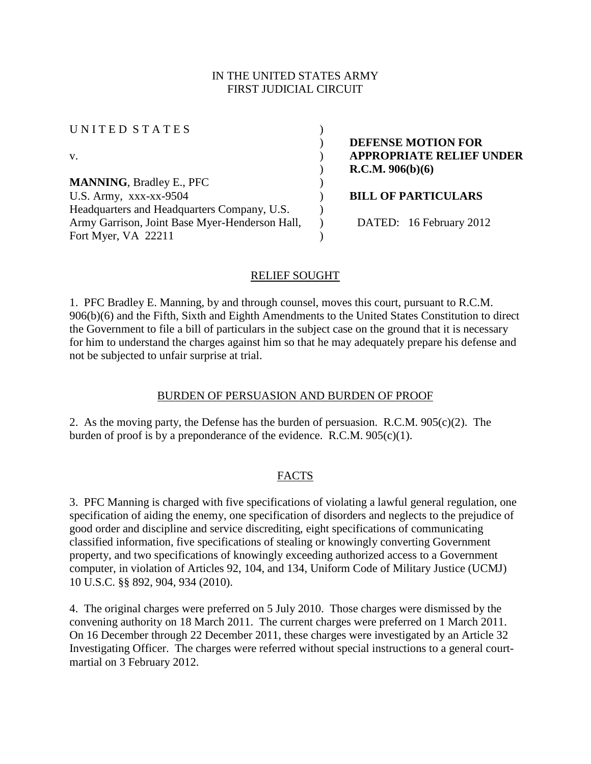## IN THE UNITED STATES ARMY FIRST JUDICIAL CIRCUIT

UNITED STATES (

**MANNING**, Bradley E., PFC ) U.S. Army, xxx-xx-9504 **BILL OF PARTICULARS** Headquarters and Headquarters Company, U.S. Army Garrison, Joint Base Myer-Henderson Hall, Fort Myer, VA 22211

) **DEFENSE MOTION FOR** v. ) **APPROPRIATE RELIEF UNDER** ) **R.C.M. 906(b)(6)**

) DATED: 16 February 2012

# RELIEF SOUGHT

 $\lambda$ 

 $\lambda$ 

1. PFC Bradley E. Manning, by and through counsel, moves this court, pursuant to R.C.M. 906(b)(6) and the Fifth, Sixth and Eighth Amendments to the United States Constitution to direct the Government to file a bill of particulars in the subject case on the ground that it is necessary for him to understand the charges against him so that he may adequately prepare his defense and not be subjected to unfair surprise at trial.

# BURDEN OF PERSUASION AND BURDEN OF PROOF

2. As the moving party, the Defense has the burden of persuasion. R.C.M.  $905(c)(2)$ . The burden of proof is by a preponderance of the evidence. R.C.M. 905(c)(1).

# FACTS

3. PFC Manning is charged with five specifications of violating a lawful general regulation, one specification of aiding the enemy, one specification of disorders and neglects to the prejudice of good order and discipline and service discrediting, eight specifications of communicating classified information, five specifications of stealing or knowingly converting Government property, and two specifications of knowingly exceeding authorized access to a Government computer, in violation of Articles 92, 104, and 134, Uniform Code of Military Justice (UCMJ) 10 U.S.C. §§ 892, 904, 934 (2010).

4. The original charges were preferred on 5 July 2010. Those charges were dismissed by the convening authority on 18 March 2011. The current charges were preferred on 1 March 2011. On 16 December through 22 December 2011, these charges were investigated by an Article 32 Investigating Officer. The charges were referred without special instructions to a general courtmartial on 3 February 2012.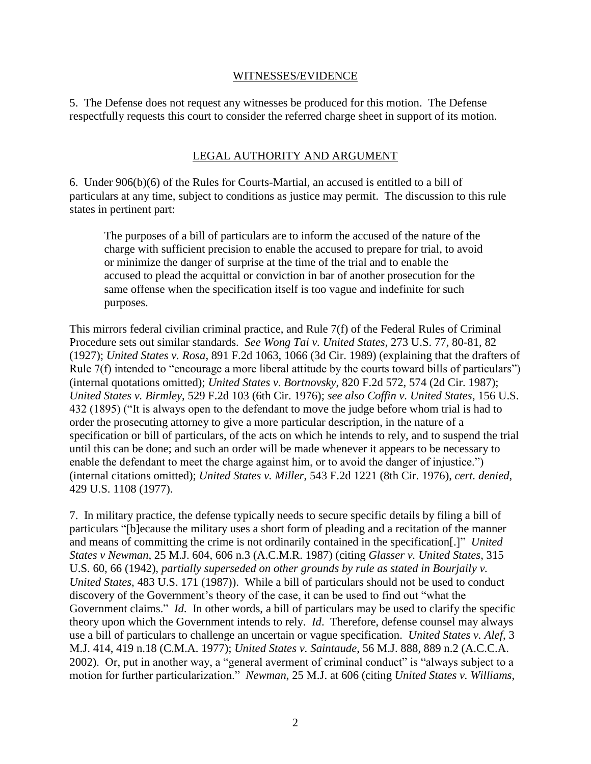### WITNESSES/EVIDENCE

5. The Defense does not request any witnesses be produced for this motion. The Defense respectfully requests this court to consider the referred charge sheet in support of its motion.

## LEGAL AUTHORITY AND ARGUMENT

6. Under 906(b)(6) of the Rules for Courts-Martial, an accused is entitled to a bill of particulars at any time, subject to conditions as justice may permit. The discussion to this rule states in pertinent part:

The purposes of a bill of particulars are to inform the accused of the nature of the charge with sufficient precision to enable the accused to prepare for trial, to avoid or minimize the danger of surprise at the time of the trial and to enable the accused to plead the acquittal or conviction in bar of another prosecution for the same offense when the specification itself is too vague and indefinite for such purposes.

This mirrors federal civilian criminal practice, and Rule 7(f) of the Federal Rules of Criminal Procedure sets out similar standards. *See Wong Tai v. United States*, 273 U.S. 77, 80-81, 82 (1927); *United States v. Rosa*, 891 F.2d 1063, 1066 (3d Cir. 1989) (explaining that the drafters of Rule 7(f) intended to "encourage a more liberal attitude by the courts toward bills of particulars") (internal quotations omitted); *United States v. Bortnovsky*, 820 F.2d 572, 574 (2d Cir. 1987); *United States v. Birmley*, 529 F.2d 103 (6th Cir. 1976); *see also Coffin v. United States*, 156 U.S. 432 (1895) ("It is always open to the defendant to move the judge before whom trial is had to order the prosecuting attorney to give a more particular description, in the nature of a specification or bill of particulars, of the acts on which he intends to rely, and to suspend the trial until this can be done; and such an order will be made whenever it appears to be necessary to enable the defendant to meet the charge against him, or to avoid the danger of injustice.") (internal citations omitted); *United States v. Miller*, 543 F.2d 1221 (8th Cir. 1976), *cert. denied*, 429 U.S. 1108 (1977).

7. In military practice, the defense typically needs to secure specific details by filing a bill of particulars "[b]ecause the military uses a short form of pleading and a recitation of the manner and means of committing the crime is not ordinarily contained in the specification[.]" *United States v Newman*, 25 M.J. 604, 606 n.3 (A.C.M.R. 1987) (citing *Glasser v. United States*, 315 U.S. 60, 66 (1942), *partially superseded on other grounds by rule as stated in Bourjaily v. United States*, 483 U.S. 171 (1987)). While a bill of particulars should not be used to conduct discovery of the Government's theory of the case, it can be used to find out "what the Government claims." *Id*. In other words, a bill of particulars may be used to clarify the specific theory upon which the Government intends to rely. *Id*. Therefore, defense counsel may always use a bill of particulars to challenge an uncertain or vague specification. *United States v. Alef*, 3 M.J. 414, 419 n.18 (C.M.A. 1977); *United States v. Saintaude*, 56 M.J. 888, 889 n.2 (A.C.C.A. 2002). Or, put in another way, a "general averment of criminal conduct" is "always subject to a motion for further particularization." *Newman*, 25 M.J. at 606 (citing *United States v. Williams*,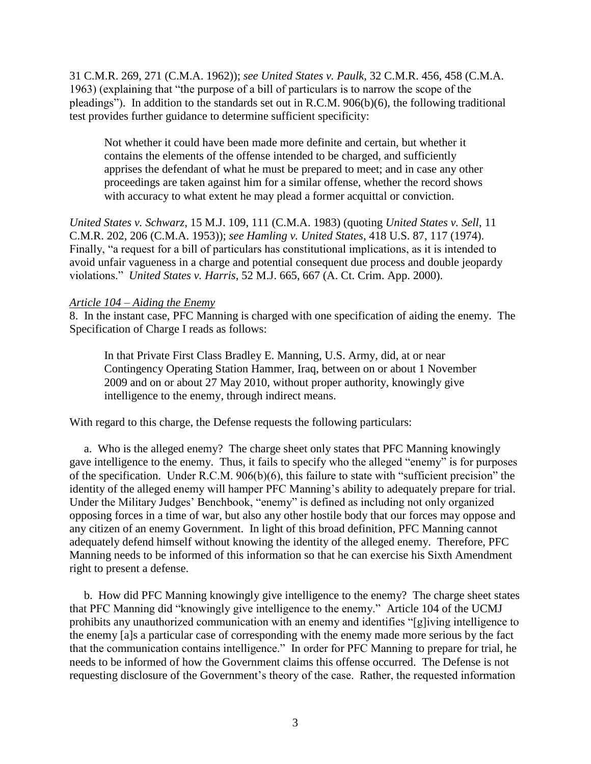31 C.M.R. 269, 271 (C.M.A. 1962)); *see United States v. Paulk*, 32 C.M.R. 456, 458 (C.M.A. 1963) (explaining that "the purpose of a bill of particulars is to narrow the scope of the pleadings"). In addition to the standards set out in R.C.M. 906(b)(6), the following traditional test provides further guidance to determine sufficient specificity:

Not whether it could have been made more definite and certain, but whether it contains the elements of the offense intended to be charged, and sufficiently apprises the defendant of what he must be prepared to meet; and in case any other proceedings are taken against him for a similar offense, whether the record shows with accuracy to what extent he may plead a former acquittal or conviction.

*United States v. Schwarz*, 15 M.J. 109, 111 (C.M.A. 1983) (quoting *United States v. Sell*, 11 C.M.R. 202, 206 (C.M.A. 1953)); *see Hamling v. United States*, 418 U.S. 87, 117 (1974). Finally, "a request for a bill of particulars has constitutional implications, as it is intended to avoid unfair vagueness in a charge and potential consequent due process and double jeopardy violations." *United States v. Harris*, 52 M.J. 665, 667 (A. Ct. Crim. App. 2000).

## *Article 104 – Aiding the Enemy*

8. In the instant case, PFC Manning is charged with one specification of aiding the enemy. The Specification of Charge I reads as follows:

In that Private First Class Bradley E. Manning, U.S. Army, did, at or near Contingency Operating Station Hammer, Iraq, between on or about 1 November 2009 and on or about 27 May 2010, without proper authority, knowingly give intelligence to the enemy, through indirect means.

With regard to this charge, the Defense requests the following particulars:

 a. Who is the alleged enemy? The charge sheet only states that PFC Manning knowingly gave intelligence to the enemy. Thus, it fails to specify who the alleged "enemy" is for purposes of the specification. Under R.C.M. 906(b)(6), this failure to state with "sufficient precision" the identity of the alleged enemy will hamper PFC Manning's ability to adequately prepare for trial. Under the Military Judges' Benchbook, "enemy" is defined as including not only organized opposing forces in a time of war, but also any other hostile body that our forces may oppose and any citizen of an enemy Government. In light of this broad definition, PFC Manning cannot adequately defend himself without knowing the identity of the alleged enemy. Therefore, PFC Manning needs to be informed of this information so that he can exercise his Sixth Amendment right to present a defense.

 b.How did PFC Manning knowingly give intelligence to the enemy? The charge sheet states that PFC Manning did "knowingly give intelligence to the enemy." Article 104 of the UCMJ prohibits any unauthorized communication with an enemy and identifies "[g]iving intelligence to the enemy [a]s a particular case of corresponding with the enemy made more serious by the fact that the communication contains intelligence." In order for PFC Manning to prepare for trial, he needs to be informed of how the Government claims this offense occurred. The Defense is not requesting disclosure of the Government's theory of the case. Rather, the requested information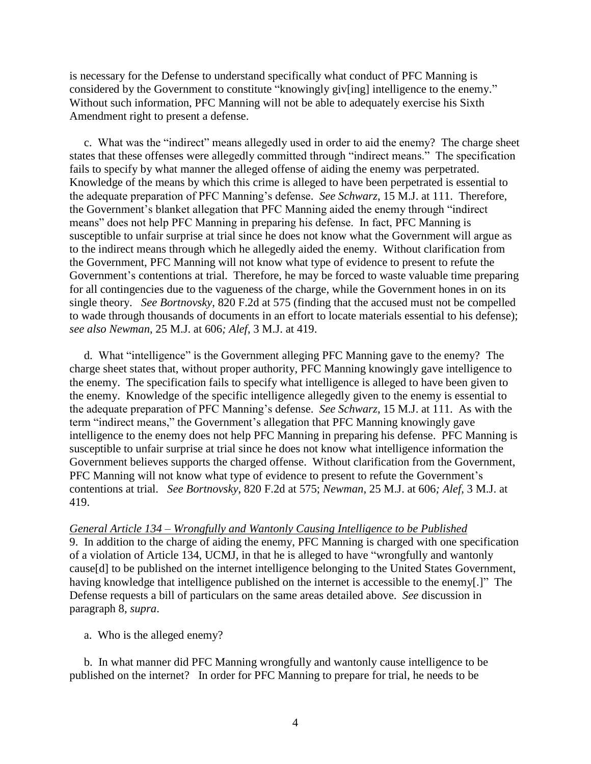is necessary for the Defense to understand specifically what conduct of PFC Manning is considered by the Government to constitute "knowingly giv[ing] intelligence to the enemy." Without such information, PFC Manning will not be able to adequately exercise his Sixth Amendment right to present a defense.

 c. What was the "indirect" means allegedly used in order to aid the enemy? The charge sheet states that these offenses were allegedly committed through "indirect means." The specification fails to specify by what manner the alleged offense of aiding the enemy was perpetrated. Knowledge of the means by which this crime is alleged to have been perpetrated is essential to the adequate preparation of PFC Manning's defense. *See Schwarz*, 15 M.J. at 111. Therefore, the Government's blanket allegation that PFC Manning aided the enemy through "indirect means" does not help PFC Manning in preparing his defense. In fact, PFC Manning is susceptible to unfair surprise at trial since he does not know what the Government will argue as to the indirect means through which he allegedly aided the enemy. Without clarification from the Government, PFC Manning will not know what type of evidence to present to refute the Government's contentions at trial. Therefore, he may be forced to waste valuable time preparing for all contingencies due to the vagueness of the charge, while the Government hones in on its single theory. *See Bortnovsky*, 820 F.2d at 575 (finding that the accused must not be compelled to wade through thousands of documents in an effort to locate materials essential to his defense); *see also Newman*, 25 M.J. at 606*; Alef*, 3 M.J. at 419.

 d. What "intelligence" is the Government alleging PFC Manning gave to the enemy? The charge sheet states that, without proper authority, PFC Manning knowingly gave intelligence to the enemy. The specification fails to specify what intelligence is alleged to have been given to the enemy. Knowledge of the specific intelligence allegedly given to the enemy is essential to the adequate preparation of PFC Manning's defense. *See Schwarz*, 15 M.J. at 111. As with the term "indirect means," the Government's allegation that PFC Manning knowingly gave intelligence to the enemy does not help PFC Manning in preparing his defense. PFC Manning is susceptible to unfair surprise at trial since he does not know what intelligence information the Government believes supports the charged offense. Without clarification from the Government, PFC Manning will not know what type of evidence to present to refute the Government's contentions at trial. *See Bortnovsky*, 820 F.2d at 575; *Newman*, 25 M.J. at 606*; Alef*, 3 M.J. at 419.

### *General Article 134 – Wrongfully and Wantonly Causing Intelligence to be Published*

9. In addition to the charge of aiding the enemy, PFC Manning is charged with one specification of a violation of Article 134, UCMJ, in that he is alleged to have "wrongfully and wantonly cause[d] to be published on the internet intelligence belonging to the United States Government, having knowledge that intelligence published on the internet is accessible to the enemy[.]" The Defense requests a bill of particulars on the same areas detailed above. *See* discussion in paragraph 8, *supra*.

a. Who is the alleged enemy?

 b. In what manner did PFC Manning wrongfully and wantonly cause intelligence to be published on the internet? In order for PFC Manning to prepare for trial, he needs to be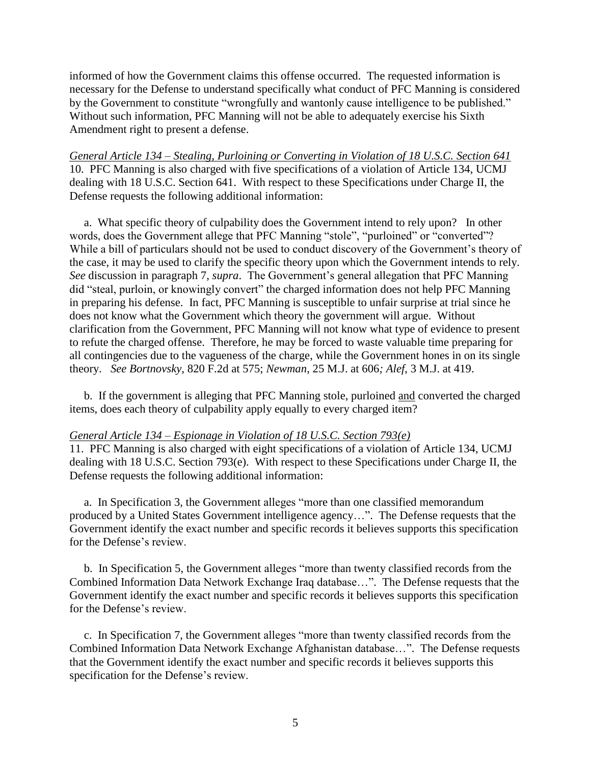informed of how the Government claims this offense occurred. The requested information is necessary for the Defense to understand specifically what conduct of PFC Manning is considered by the Government to constitute "wrongfully and wantonly cause intelligence to be published." Without such information, PFC Manning will not be able to adequately exercise his Sixth Amendment right to present a defense.

*General Article 134 – Stealing, Purloining or Converting in Violation of 18 U.S.C. Section 641* 10. PFC Manning is also charged with five specifications of a violation of Article 134, UCMJ dealing with 18 U.S.C. Section 641. With respect to these Specifications under Charge II, the Defense requests the following additional information:

 a. What specific theory of culpability does the Government intend to rely upon? In other words, does the Government allege that PFC Manning "stole", "purloined" or "converted"? While a bill of particulars should not be used to conduct discovery of the Government's theory of the case, it may be used to clarify the specific theory upon which the Government intends to rely. *See* discussion in paragraph 7, *supra*. The Government's general allegation that PFC Manning did "steal, purloin, or knowingly convert" the charged information does not help PFC Manning in preparing his defense. In fact, PFC Manning is susceptible to unfair surprise at trial since he does not know what the Government which theory the government will argue. Without clarification from the Government, PFC Manning will not know what type of evidence to present to refute the charged offense. Therefore, he may be forced to waste valuable time preparing for all contingencies due to the vagueness of the charge, while the Government hones in on its single theory. *See Bortnovsky*, 820 F.2d at 575; *Newman*, 25 M.J. at 606*; Alef*, 3 M.J. at 419.

 b. If the government is alleging that PFC Manning stole, purloined and converted the charged items, does each theory of culpability apply equally to every charged item?

### *General Article 134 – Espionage in Violation of 18 U.S.C. Section 793(e)*

11. PFC Manning is also charged with eight specifications of a violation of Article 134, UCMJ dealing with 18 U.S.C. Section 793(e). With respect to these Specifications under Charge II, the Defense requests the following additional information:

 a. In Specification 3, the Government alleges "more than one classified memorandum produced by a United States Government intelligence agency…". The Defense requests that the Government identify the exact number and specific records it believes supports this specification for the Defense's review.

 b. In Specification 5, the Government alleges "more than twenty classified records from the Combined Information Data Network Exchange Iraq database…". The Defense requests that the Government identify the exact number and specific records it believes supports this specification for the Defense's review.

 c. In Specification 7, the Government alleges "more than twenty classified records from the Combined Information Data Network Exchange Afghanistan database…". The Defense requests that the Government identify the exact number and specific records it believes supports this specification for the Defense's review.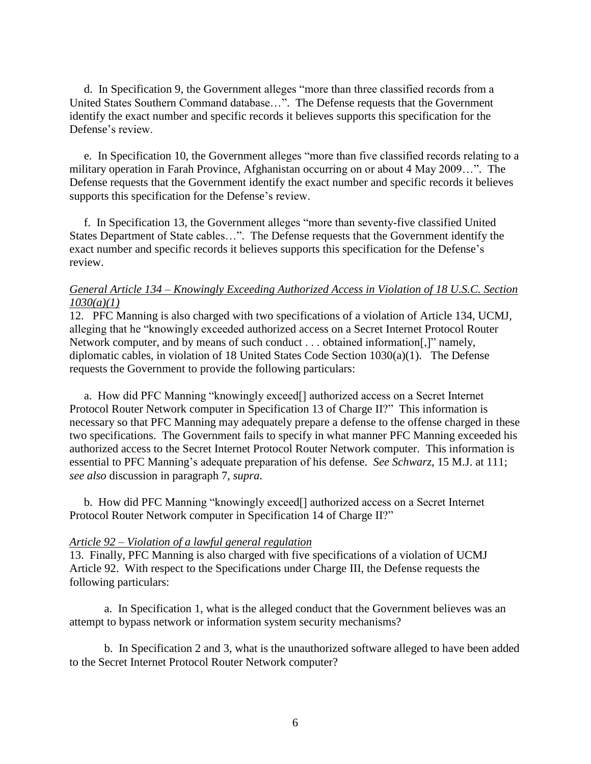d. In Specification 9, the Government alleges "more than three classified records from a United States Southern Command database…". The Defense requests that the Government identify the exact number and specific records it believes supports this specification for the Defense's review.

 e. In Specification 10, the Government alleges "more than five classified records relating to a military operation in Farah Province, Afghanistan occurring on or about 4 May 2009…". The Defense requests that the Government identify the exact number and specific records it believes supports this specification for the Defense's review.

 f. In Specification 13, the Government alleges "more than seventy-five classified United States Department of State cables…". The Defense requests that the Government identify the exact number and specific records it believes supports this specification for the Defense's review.

## *General Article 134 – Knowingly Exceeding Authorized Access in Violation of 18 U.S.C. Section 1030(a)(1)*

12. PFC Manning is also charged with two specifications of a violation of Article 134, UCMJ, alleging that he "knowingly exceeded authorized access on a Secret Internet Protocol Router Network computer, and by means of such conduct . . . obtained information[,]" namely, diplomatic cables, in violation of 18 United States Code Section 1030(a)(1). The Defense requests the Government to provide the following particulars:

 a. How did PFC Manning "knowingly exceed[] authorized access on a Secret Internet Protocol Router Network computer in Specification 13 of Charge II?" This information is necessary so that PFC Manning may adequately prepare a defense to the offense charged in these two specifications. The Government fails to specify in what manner PFC Manning exceeded his authorized access to the Secret Internet Protocol Router Network computer. This information is essential to PFC Manning's adequate preparation of his defense. *See Schwarz*, 15 M.J. at 111; *see also* discussion in paragraph 7, *supra*.

 b. How did PFC Manning "knowingly exceed[] authorized access on a Secret Internet Protocol Router Network computer in Specification 14 of Charge II?"

### *Article 92 – Violation of a lawful general regulation*

13. Finally, PFC Manning is also charged with five specifications of a violation of UCMJ Article 92. With respect to the Specifications under Charge III, the Defense requests the following particulars:

a. In Specification 1, what is the alleged conduct that the Government believes was an attempt to bypass network or information system security mechanisms?

b. In Specification 2 and 3, what is the unauthorized software alleged to have been added to the Secret Internet Protocol Router Network computer?